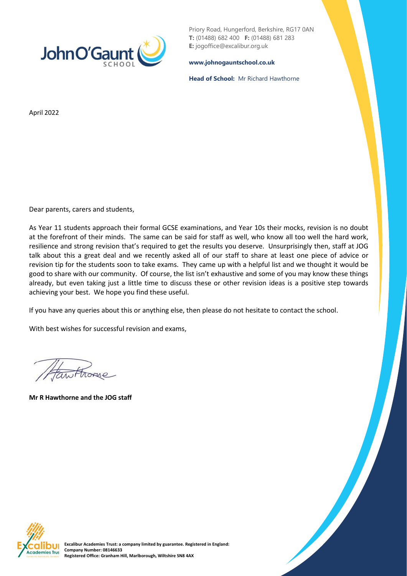

Priory Road, Hungerford, Berkshire, RG17 0AN **T:** (01488) 682 400 **F:** (01488) 681 283 **E:** jogoffice@excalibur.org.uk

**[www.johnogauntschool.co.uk](http://www.johnogauntschool.co.uk/)**

**Head of School:** Mr Richard Hawthorne

April 2022

Dear parents, carers and students,

As Year 11 students approach their formal GCSE examinations, and Year 10s their mocks, revision is no doubt at the forefront of their minds. The same can be said for staff as well, who know all too well the hard work, resilience and strong revision that's required to get the results you deserve. Unsurprisingly then, staff at JOG talk about this a great deal and we recently asked all of our staff to share at least one piece of advice or revision tip for the students soon to take exams. They came up with a helpful list and we thought it would be good to share with our community. Of course, the list isn't exhaustive and some of you may know these things already, but even taking just a little time to discuss these or other revision ideas is a positive step towards achieving your best. We hope you find these useful.

If you have any queries about this or anything else, then please do not hesitate to contact the school.

With best wishes for successful revision and exams,

**Mr R Hawthorne and the JOG staff**